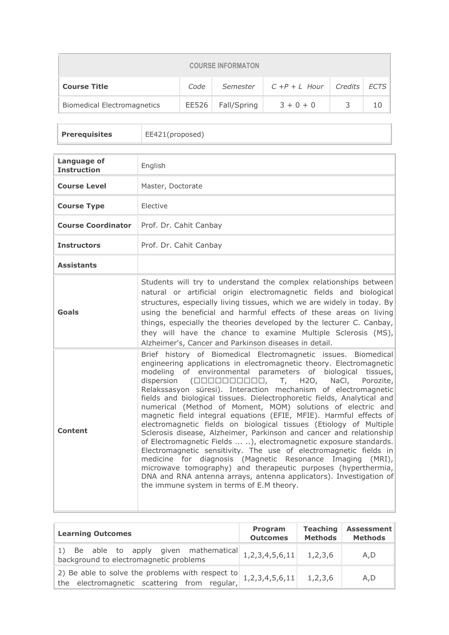| <b>COURSE INFORMATON</b>                                                 |  |                   |             |   |    |
|--------------------------------------------------------------------------|--|-------------------|-------------|---|----|
| $C + P + L$ Hour Credits ECTS<br><b>Course Title</b><br>Code<br>Semester |  |                   |             |   |    |
| <b>Biomedical Electromagnetics</b>                                       |  | EE526 Fall/Spring | $3 + 0 + 0$ | 3 | 10 |

| <b>Prerequisites</b> | EE421(proposed) |
|----------------------|-----------------|
|                      |                 |

| Language of<br><b>Instruction</b> | English                                                                                                                                                                                                                                                                                                                                                                                                                                                                                                                                                                                                                                                                                                                                                                                                                                                                                                                                                                                                                                                                                                                                             |
|-----------------------------------|-----------------------------------------------------------------------------------------------------------------------------------------------------------------------------------------------------------------------------------------------------------------------------------------------------------------------------------------------------------------------------------------------------------------------------------------------------------------------------------------------------------------------------------------------------------------------------------------------------------------------------------------------------------------------------------------------------------------------------------------------------------------------------------------------------------------------------------------------------------------------------------------------------------------------------------------------------------------------------------------------------------------------------------------------------------------------------------------------------------------------------------------------------|
| <b>Course Level</b>               | Master, Doctorate                                                                                                                                                                                                                                                                                                                                                                                                                                                                                                                                                                                                                                                                                                                                                                                                                                                                                                                                                                                                                                                                                                                                   |
| <b>Course Type</b>                | Elective                                                                                                                                                                                                                                                                                                                                                                                                                                                                                                                                                                                                                                                                                                                                                                                                                                                                                                                                                                                                                                                                                                                                            |
| <b>Course Coordinator</b>         | Prof. Dr. Cahit Canbay                                                                                                                                                                                                                                                                                                                                                                                                                                                                                                                                                                                                                                                                                                                                                                                                                                                                                                                                                                                                                                                                                                                              |
| <b>Instructors</b>                | Prof. Dr. Cahit Canbay                                                                                                                                                                                                                                                                                                                                                                                                                                                                                                                                                                                                                                                                                                                                                                                                                                                                                                                                                                                                                                                                                                                              |
| <b>Assistants</b>                 |                                                                                                                                                                                                                                                                                                                                                                                                                                                                                                                                                                                                                                                                                                                                                                                                                                                                                                                                                                                                                                                                                                                                                     |
| Goals                             | Students will try to understand the complex relationships between<br>natural or artificial origin electromagnetic fields and biological<br>structures, especially living tissues, which we are widely in today. By<br>using the beneficial and harmful effects of these areas on living<br>things, especially the theories developed by the lecturer C. Canbay,<br>they will have the chance to examine Multiple Sclerosis (MS),<br>Alzheimer's, Cancer and Parkinson diseases in detail.                                                                                                                                                                                                                                                                                                                                                                                                                                                                                                                                                                                                                                                           |
| Content                           | Brief history of Biomedical Electromagnetic issues. Biomedical<br>engineering applications in electromagnetic theory. Electromagnetic<br>modeling of environmental parameters of biological tissues,<br>dispersion $(\square \square \square \square \square \square \square \square \square, T, H20, NaCl,$<br>Porozite,<br>Relakssasyon süresi). Interaction mechanism of electromagnetic<br>fields and biological tissues. Dielectrophoretic fields, Analytical and<br>numerical (Method of Moment, MOM) solutions of electric and<br>magnetic field integral equations (EFIE, MFIE). Harmful effects of<br>electromagnetic fields on biological tissues (Etiology of Multiple<br>Sclerosis disease, Alzheimer, Parkinson and cancer and relationship<br>of Electromagnetic Fields  ), electromagnetic exposure standards.<br>Electromagnetic sensitivity. The use of electromagnetic fields in<br>medicine for diagnosis (Magnetic Resonance Imaging (MRI),<br>microwave tomography) and therapeutic purposes (hyperthermia,<br>DNA and RNA antenna arrays, antenna applicators). Investigation of<br>the immune system in terms of E.M theory. |

| <b>Learning Outcomes</b>                                                                                          | Program<br><b>Outcomes</b> | <b>Teaching</b><br><b>Methods</b> | <b>Assessment</b><br>Methods |
|-------------------------------------------------------------------------------------------------------------------|----------------------------|-----------------------------------|------------------------------|
| 1) Be able to apply given mathematical $1,2,3,4,5,6,11$<br>background to electromagnetic problems                 |                            | 1,2,3,6                           | A,D                          |
| 2) Be able to solve the problems with respect to $1,2,3,4,5,6,11$<br>the electromagnetic scattering from regular, |                            | 1,2,3,6                           | A,D                          |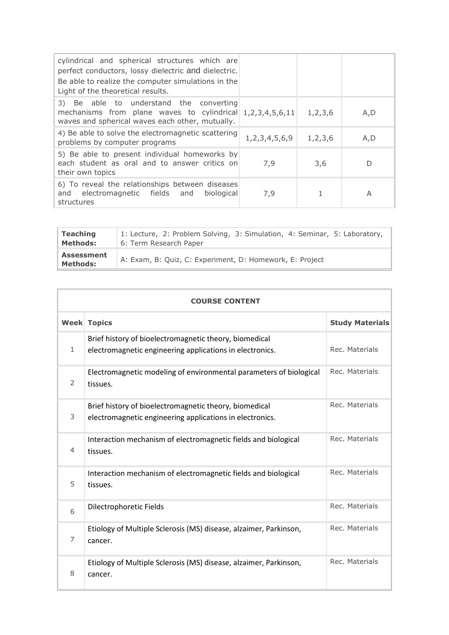| cylindrical and spherical structures which are<br>perfect conductors, lossy dielectric and dielectric.<br>Be able to realize the computer simulations in the<br>Light of the theoretical results. |                     |         |      |
|---------------------------------------------------------------------------------------------------------------------------------------------------------------------------------------------------|---------------------|---------|------|
| 3) Be able to understand the converting<br>mechanisms from plane waves to cylindrical 1,2,3,4,5,6,11<br>waves and spherical waves each other, mutually.                                           |                     | 1,2,3,6 | A, D |
| 4) Be able to solve the electromagnetic scattering<br>problems by computer programs                                                                                                               | 1, 2, 3, 4, 5, 6, 9 | 1,2,3,6 | A,D  |
| 5) Be able to present individual homeworks by<br>each student as oral and to answer critics on<br>their own topics                                                                                | 7,9                 | 3,6     | D    |
| 6) To reveal the relationships between diseases<br>and electromagnetic fields and biological<br>structures                                                                                        | 7,9                 |         | A    |

| <b>Teaching</b>                      | 1: Lecture, 2: Problem Solving, 3: Simulation, 4: Seminar, 5: Laboratory, |
|--------------------------------------|---------------------------------------------------------------------------|
| Methods:                             | 6: Term Research Paper                                                    |
| <b>Assessment</b><br><b>Methods:</b> | A: Exam, B: Quiz, C: Experiment, D: Homework, E: Project                  |

| <b>COURSE CONTENT</b> |                                                                                                                    |                        |  |  |
|-----------------------|--------------------------------------------------------------------------------------------------------------------|------------------------|--|--|
|                       | <b>Week Topics</b>                                                                                                 | <b>Study Materials</b> |  |  |
| $\mathbf{1}$          | Brief history of bioelectromagnetic theory, biomedical<br>electromagnetic engineering applications in electronics. | Rec. Materials         |  |  |
| 2                     | Electromagnetic modeling of environmental parameters of biological<br>tissues.                                     | Rec. Materials         |  |  |
| 3                     | Brief history of bioelectromagnetic theory, biomedical<br>electromagnetic engineering applications in electronics. | Rec. Materials         |  |  |
| $\overline{4}$        | Interaction mechanism of electromagnetic fields and biological<br>tissues.                                         | Rec. Materials         |  |  |
| 5                     | Interaction mechanism of electromagnetic fields and biological<br>tissues.                                         | Rec. Materials         |  |  |
| 6                     | Dilectrophoretic Fields                                                                                            | Rec. Materials         |  |  |
| $\overline{7}$        | Etiology of Multiple Sclerosis (MS) disease, alzaimer, Parkinson,<br>cancer.                                       | Rec. Materials         |  |  |
| 8                     | Etiology of Multiple Sclerosis (MS) disease, alzaimer, Parkinson,<br>cancer.                                       | Rec. Materials         |  |  |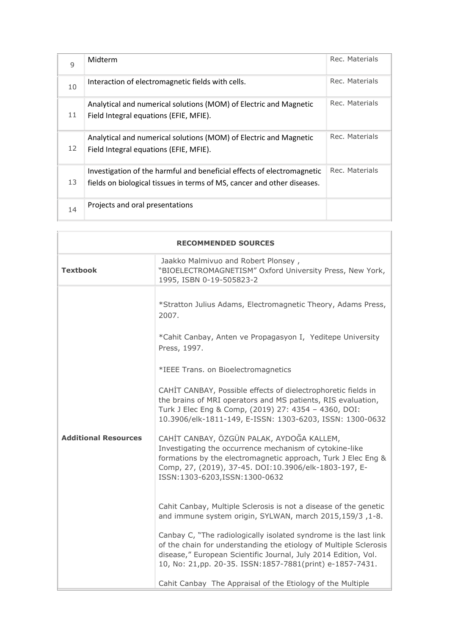| $\mathsf{q}$ | Midterm                                                                                                                                           | Rec. Materials |
|--------------|---------------------------------------------------------------------------------------------------------------------------------------------------|----------------|
| 10           | Interaction of electromagnetic fields with cells.                                                                                                 | Rec. Materials |
| 11           | Analytical and numerical solutions (MOM) of Electric and Magnetic<br>Field Integral equations (EFIE, MFIE).                                       | Rec. Materials |
| 12           | Analytical and numerical solutions (MOM) of Electric and Magnetic<br>Field Integral equations (EFIE, MFIE).                                       | Rec. Materials |
| 13           | Investigation of the harmful and beneficial effects of electromagnetic<br>fields on biological tissues in terms of MS, cancer and other diseases. | Rec. Materials |
| 14           | Projects and oral presentations                                                                                                                   |                |

| <b>RECOMMENDED SOURCES</b>  |                                                                                                                                                                                                                                                                     |  |  |
|-----------------------------|---------------------------------------------------------------------------------------------------------------------------------------------------------------------------------------------------------------------------------------------------------------------|--|--|
| <b>Textbook</b>             | Jaakko Malmivuo and Robert Plonsey,<br>"BIOELECTROMAGNETISM" Oxford University Press, New York,<br>1995, ISBN 0-19-505823-2                                                                                                                                         |  |  |
|                             | *Stratton Julius Adams, Electromagnetic Theory, Adams Press,<br>2007.<br>*Cahit Canbay, Anten ve Propagasyon I, Yeditepe University<br>Press, 1997.                                                                                                                 |  |  |
|                             | *IEEE Trans. on Bioelectromagnetics                                                                                                                                                                                                                                 |  |  |
|                             | CAHIT CANBAY, Possible effects of dielectrophoretic fields in<br>the brains of MRI operators and MS patients, RIS evaluation,<br>Turk J Elec Eng & Comp, (2019) 27: 4354 - 4360, DOI:<br>10.3906/elk-1811-149, E-ISSN: 1303-6203, ISSN: 1300-0632                   |  |  |
| <b>Additional Resources</b> | CAHİT CANBAY, ÖZGÜN PALAK, AYDOĞA KALLEM,<br>Investigating the occurrence mechanism of cytokine-like<br>formations by the electromagnetic approach, Turk J Elec Eng &<br>Comp, 27, (2019), 37-45. DOI:10.3906/elk-1803-197, E-<br>ISSN:1303-6203, ISSN:1300-0632    |  |  |
|                             | Cahit Canbay, Multiple Sclerosis is not a disease of the genetic<br>and immune system origin, SYLWAN, march 2015,159/3, 1-8.                                                                                                                                        |  |  |
|                             | Canbay C, "The radiologically isolated syndrome is the last link<br>of the chain for understanding the etiology of Multiple Sclerosis<br>disease," European Scientific Journal, July 2014 Edition, Vol.<br>10, No: 21,pp. 20-35. ISSN:1857-7881(print) e-1857-7431. |  |  |
|                             | Cahit Canbay The Appraisal of the Etiology of the Multiple                                                                                                                                                                                                          |  |  |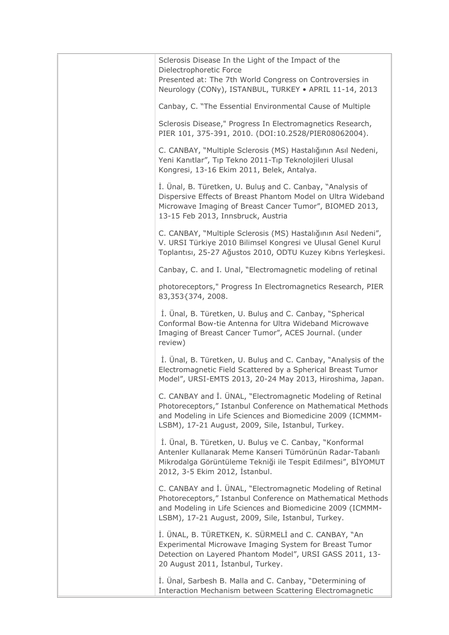Sclerosis Disease In the Light of the Impact of the Dielectrophoretic Force Presented at: The 7th World Congress on Controversies in Neurology (CONy), ISTANBUL, TURKEY • APRIL 11-14, 2013 Canbay, C. "The Essential Environmental Cause of Multiple Sclerosis Disease," Progress In Electromagnetics Research, PIER 101, 375-391, 2010. (DOI:10.2528/PIER08062004). C. CANBAY, "Multiple Sclerosis (MS) Hastalığının Asıl Nedeni, Yeni Kanıtlar", Tıp Tekno 2011-Tıp Teknolojileri Ulusal Kongresi, 13-16 Ekim 2011, Belek, Antalya. İ. Ünal, B. Türetken, U. Buluş and C. Canbay, "Analysis of Dispersive Effects of Breast Phantom Model on Ultra Wideband Microwave Imaging of Breast Cancer Tumor", BIOMED 2013, 13-15 Feb 2013, Innsbruck, Austria C. CANBAY, "Multiple Sclerosis (MS) Hastalığının Asıl Nedeni", V. URSI Türkiye 2010 Bilimsel Kongresi ve Ulusal Genel Kurul Toplantısı, 25-27 Ağustos 2010, ODTU Kuzey Kıbrıs Yerleşkesi. Canbay, C. and I. Unal, "Electromagnetic modeling of retinal photoreceptors," Progress In Electromagnetics Research, PIER 83,353{374, 2008. İ. Ünal, B. Türetken, U. Buluş and C. Canbay, "Spherical Conformal Bow-tie Antenna for Ultra Wideband Microwave Imaging of Breast Cancer Tumor", ACES Journal. (under review) İ. Ünal, B. Türetken, U. Buluş and C. Canbay, "Analysis of the Electromagnetic Field Scattered by a Spherical Breast Tumor Model", URSI-EMTS 2013, 20-24 May 2013, Hiroshima, Japan. C. CANBAY and İ. ÜNAL, "Electromagnetic Modeling of Retinal Photoreceptors," Istanbul Conference on Mathematical Methods and Modeling in Life Sciences and Biomedicine 2009 (ICMMM-LSBM), 17-21 August, 2009, Sile, Istanbul, Turkey. İ. Ünal, B. Türetken, U. Buluş ve C. Canbay, "Konformal Antenler Kullanarak Meme Kanseri Tümörünün Radar-Tabanlı Mikrodalga Görüntüleme Tekniği ile Tespit Edilmesi", BİYOMUT 2012, 3-5 Ekim 2012, İstanbul. C. CANBAY and İ. ÜNAL, "Electromagnetic Modeling of Retinal Photoreceptors," Istanbul Conference on Mathematical Methods and Modeling in Life Sciences and Biomedicine 2009 (ICMMM-LSBM), 17-21 August, 2009, Sile, Istanbul, Turkey. İ. ÜNAL, B. TÜRETKEN, K. SÜRMELİ and C. CANBAY, "An Experimental Microwave Imaging System for Breast Tumor Detection on Layered Phantom Model", URSI GASS 2011, 13- 20 August 2011, İstanbul, Turkey. İ. Ünal, Sarbesh B. Malla and C. Canbay, "Determining of Interaction Mechanism between Scattering Electromagnetic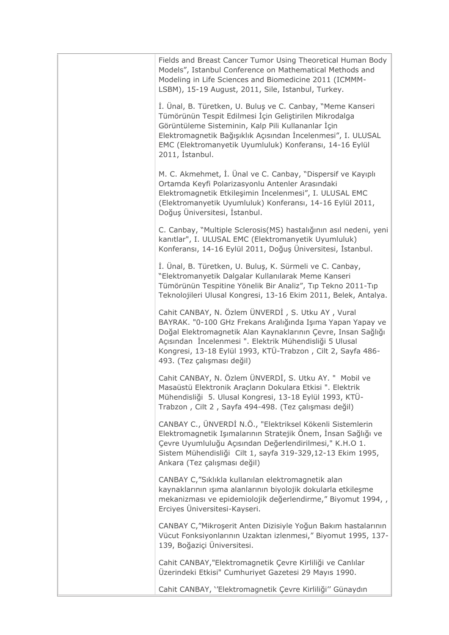Fields and Breast Cancer Tumor Using Theoretical Human Body Models", Istanbul Conference on Mathematical Methods and Modeling in Life Sciences and Biomedicine 2011 (ICMMM-LSBM), 15-19 August, 2011, Sile, Istanbul, Turkey. İ. Ünal, B. Türetken, U. Buluş ve C. Canbay, "Meme Kanseri Tümörünün Tespit Edilmesi İçin Geliştirilen Mikrodalga Görüntüleme Sisteminin, Kalp Pili Kullananlar İçin Elektromagnetik Bağışıklık Açısından İncelenmesi", I. ULUSAL EMC (Elektromanyetik Uyumluluk) Konferansı, 14-16 Eylül 2011, İstanbul. M. C. Akmehmet, İ. Ünal ve C. Canbay, "Dispersif ve Kayıplı Ortamda Keyfi Polarizasyonlu Antenler Arasındaki Elektromagnetik Etkileşimin İncelenmesi", I. ULUSAL EMC (Elektromanyetik Uyumluluk) Konferansı, 14-16 Eylül 2011, Doğuş Üniversitesi, İstanbul. C. Canbay, "Multiple Sclerosis(MS) hastalığının asıl nedeni, yeni kanıtlar", I. ULUSAL EMC (Elektromanyetik Uyumluluk) Konferansı, 14-16 Eylül 2011, Doğuş Üniversitesi, İstanbul. İ. Ünal, B. Türetken, U. Buluş, K. Sürmeli ve C. Canbay, "Elektromanyetik Dalgalar Kullanılarak Meme Kanseri Tümörünün Tespitine Yönelik Bir Analiz", Tıp Tekno 2011-Tıp Teknolojileri Ulusal Kongresi, 13-16 Ekim 2011, Belek, Antalya. Cahit CANBAY, N. Özlem ÜNVERDİ , S. Utku AY , Vural BAYRAK. "0-100 GHz Frekans Aralığında Işıma Yapan Yapay ve Doğal Elektromagnetik Alan Kaynaklarının Çevre, Insan Sağlığı Açısından İncelenmesi ". Elektrik Mühendisliği 5 Ulusal Kongresi, 13-18 Eylül 1993, KTÜ-Trabzon , Cilt 2, Sayfa 486- 493. (Tez çalışması değil) Cahit CANBAY, N. Özlem ÜNVERDİ, S. Utku AY. " Mobil ve Masaüstü Elektronik Araçların Dokulara Etkisi ". Elektrik Mühendisliği 5. Ulusal Kongresi, 13-18 Eylül 1993, KTÜ-Trabzon , Cilt 2 , Sayfa 494-498. (Tez çalışması değil) CANBAY C., ÜNVERDİ N.Ö., "Elektriksel Kökenli Sistemlerin Elektromagnetik Işımalarının Stratejik Önem, İnsan Sağlığı ve Çevre Uyumluluğu Açısından Değerlendirilmesi," K.H.O 1. Sistem Mühendisliği Cilt 1, sayfa 319-329,12-13 Ekim 1995, Ankara (Tez çalışması değil) CANBAY C,"Sıklıkla kullanılan elektromagnetik alan kaynaklarının ışıma alanlarının biyolojik dokularla etkileşme mekanizması ve epidemiolojik değerlendirme," Biyomut 1994, , Erciyes Üniversitesi-Kayseri. CANBAY C,"Mikroşerit Anten Dizisiyle Yoğun Bakım hastalarının Vücut Fonksiyonlarının Uzaktan izlenmesi," Biyomut 1995, 137- 139, Boğaziçi Üniversitesi. Cahit CANBAY,"Elektromagnetik Çevre Kirliliği ve Canlılar Üzerindeki Etkisi" Cumhuriyet Gazetesi 29 Mayıs 1990. Cahit CANBAY, ''Elektromagnetik Çevre Kirliliği'' Günaydın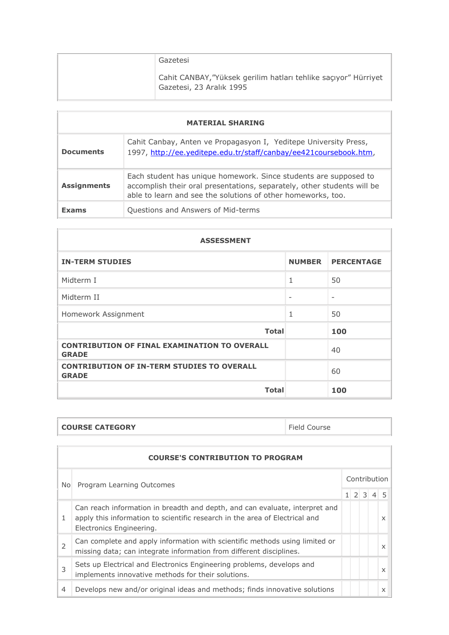| Gazetesi                                                                                    |
|---------------------------------------------------------------------------------------------|
| Cahit CANBAY, "Yüksek gerilim hatları tehlike saçıyor" Hürriyet<br>Gazetesi, 23 Aralık 1995 |

| <b>MATERIAL SHARING</b> |                                                                                                                                                                                                             |  |
|-------------------------|-------------------------------------------------------------------------------------------------------------------------------------------------------------------------------------------------------------|--|
| <b>Documents</b>        | Cahit Canbay, Anten ve Propagasyon I, Yeditepe University Press,<br>1997, http://ee.yeditepe.edu.tr/staff/canbay/ee421coursebook.htm,                                                                       |  |
| <b>Assignments</b>      | Each student has unique homework. Since students are supposed to<br>accomplish their oral presentations, separately, other students will be<br>able to learn and see the solutions of other homeworks, too. |  |
| <b>Exams</b>            | Questions and Answers of Mid-terms                                                                                                                                                                          |  |

| <b>ASSESSMENT</b>                                                   |                   |                          |  |
|---------------------------------------------------------------------|-------------------|--------------------------|--|
| <b>IN-TERM STUDIES</b>                                              | <b>NUMBER</b>     | <b>PERCENTAGE</b>        |  |
| Midterm T                                                           | 1                 | 50                       |  |
| Midterm II                                                          | $\qquad \qquad -$ | $\overline{\phantom{0}}$ |  |
| Homework Assignment                                                 | 1                 | 50                       |  |
| <b>Total</b>                                                        |                   | 100                      |  |
| <b>CONTRIBUTION OF FINAL EXAMINATION TO OVERALL</b><br><b>GRADE</b> |                   | 40                       |  |
| <b>CONTRIBUTION OF IN-TERM STUDIES TO OVERALL</b><br><b>GRADE</b>   |                   | 60                       |  |
| <b>Total</b>                                                        |                   | 100                      |  |

## **COURSE CATEGORY Field Course**

 $\mathbb{R}$ 

 $\overline{\phantom{a}}$ 

| <b>COURSE'S CONTRIBUTION TO PROGRAM</b> |                                                                                                                                                                                        |              |                 |  |  |          |  |  |  |  |
|-----------------------------------------|----------------------------------------------------------------------------------------------------------------------------------------------------------------------------------------|--------------|-----------------|--|--|----------|--|--|--|--|
| No.                                     | Program Learning Outcomes                                                                                                                                                              | Contribution |                 |  |  |          |  |  |  |  |
|                                         |                                                                                                                                                                                        |              | $1 \t2 \t3 \t4$ |  |  |          |  |  |  |  |
|                                         | Can reach information in breadth and depth, and can evaluate, interpret and<br>apply this information to scientific research in the area of Electrical and<br>Electronics Engineering. |              |                 |  |  | $\times$ |  |  |  |  |
| 2                                       | Can complete and apply information with scientific methods using limited or<br>missing data; can integrate information from different disciplines.                                     |              |                 |  |  | $\times$ |  |  |  |  |
| 3                                       | Sets up Electrical and Electronics Engineering problems, develops and<br>implements innovative methods for their solutions.                                                            |              |                 |  |  | $\times$ |  |  |  |  |
| $\overline{4}$                          | Develops new and/or original ideas and methods; finds innovative solutions                                                                                                             |              |                 |  |  | X        |  |  |  |  |